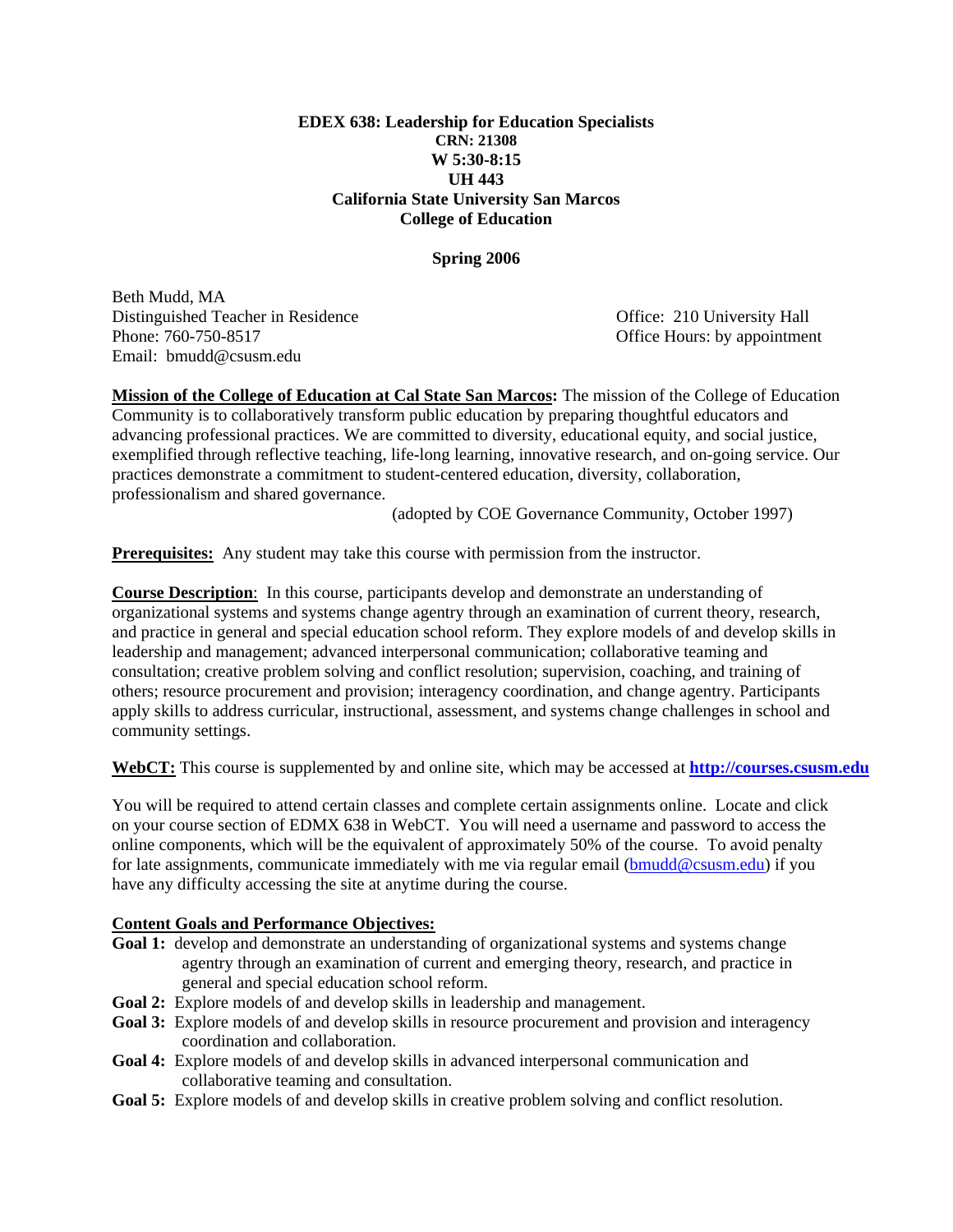### **EDEX 638: Leadership for Education Specialists CRN: 21308 W 5:30-8:15 UH 443 California State University San Marcos College of Education**

#### **Spring 2006**

Beth Mudd, MA Distinguished Teacher in Residence Office: 210 University Hall Phone: 760-750-8517 **Conserverse Example 2018** Office Hours: by appointment Email: bmudd@csusm.edu

**Mission of the College of Education at Cal State San Marcos:** The mission of the College of Education Community is to collaboratively transform public education by preparing thoughtful educators and advancing professional practices. We are committed to diversity, educational equity, and social justice, exemplified through reflective teaching, life-long learning, innovative research, and on-going service. Our practices demonstrate a commitment to student-centered education, diversity, collaboration, professionalism and shared governance.

(adopted by COE Governance Community, October 1997)

**Prerequisites:** Any student may take this course with permission from the instructor.

**Course Description**: In this course, participants develop and demonstrate an understanding of organizational systems and systems change agentry through an examination of current theory, research, and practice in general and special education school reform. They explore models of and develop skills in leadership and management; advanced interpersonal communication; collaborative teaming and consultation; creative problem solving and conflict resolution; supervision, coaching, and training of others; resource procurement and provision; interagency coordination, and change agentry. Participants apply skills to address curricular, instructional, assessment, and systems change challenges in school and community settings.

**WebCT:** This course is supplemented by and online site, which may be accessed at **http://courses.csusm.edu**

You will be required to attend certain classes and complete certain assignments online. Locate and click on your course section of EDMX 638 in WebCT. You will need a username and password to access the online components, which will be the equivalent of approximately 50% of the course. To avoid penalty for late assignments, communicate immediately with me via regular email (bmudd@csusm.edu) if you have any difficulty accessing the site at anytime during the course.

### **Content Goals and Performance Objectives:**

- **Goal 1:** develop and demonstrate an understanding of organizational systems and systems change agentry through an examination of current and emerging theory, research, and practice in general and special education school reform.
- **Goal 2:** Explore models of and develop skills in leadership and management.
- Goal 3: Explore models of and develop skills in resource procurement and provision and interagency coordination and collaboration.
- **Goal 4:** Explore models of and develop skills in advanced interpersonal communication and collaborative teaming and consultation.
- **Goal 5:** Explore models of and develop skills in creative problem solving and conflict resolution.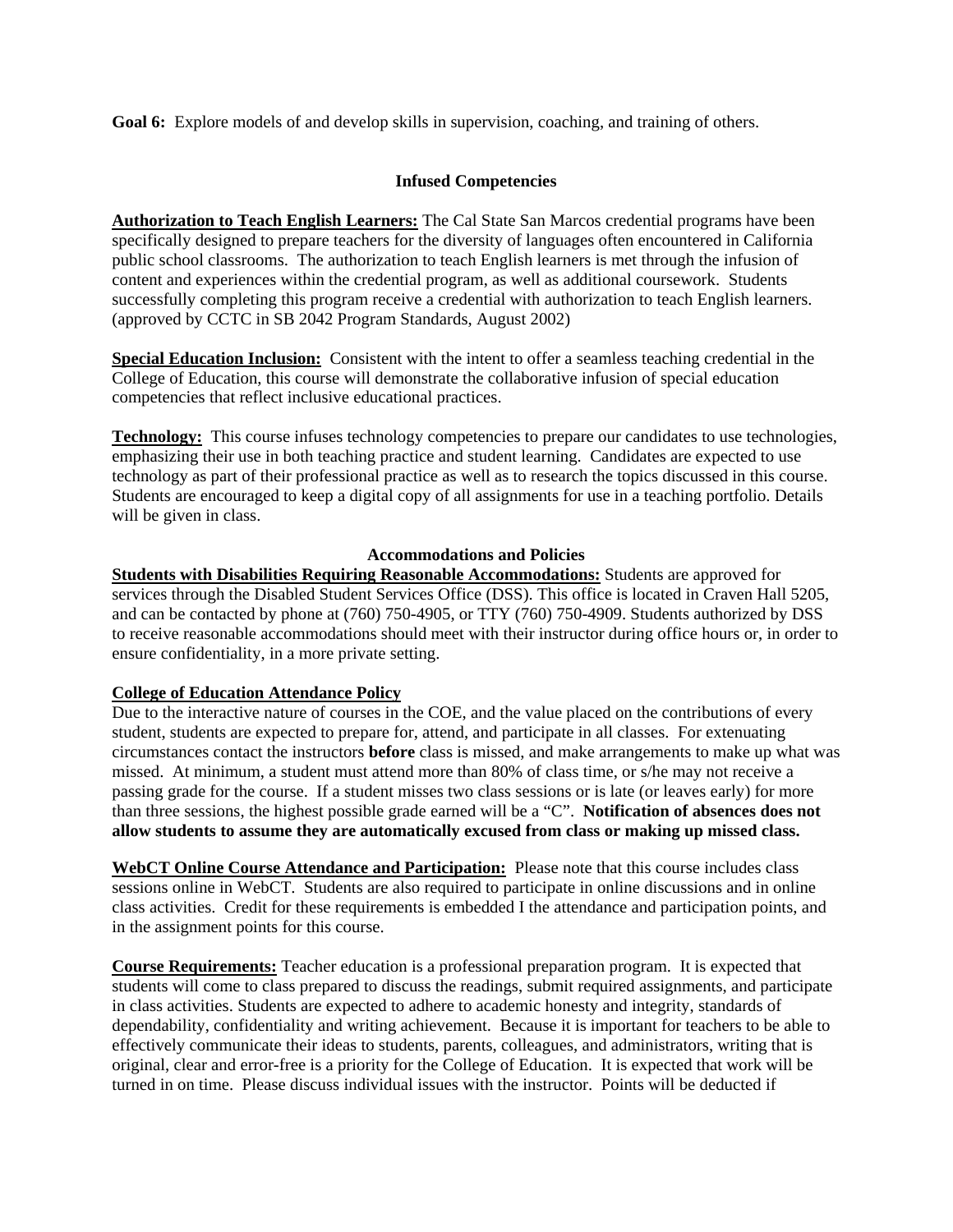**Goal 6:** Explore models of and develop skills in supervision, coaching, and training of others.

### **Infused Competencies**

**Authorization to Teach English Learners:** The Cal State San Marcos credential programs have been specifically designed to prepare teachers for the diversity of languages often encountered in California public school classrooms. The authorization to teach English learners is met through the infusion of content and experiences within the credential program, as well as additional coursework. Students successfully completing this program receive a credential with authorization to teach English learners. (approved by CCTC in SB 2042 Program Standards, August 2002)

**Special Education Inclusion:** Consistent with the intent to offer a seamless teaching credential in the College of Education, this course will demonstrate the collaborative infusion of special education competencies that reflect inclusive educational practices.

**Technology:** This course infuses technology competencies to prepare our candidates to use technologies, emphasizing their use in both teaching practice and student learning. Candidates are expected to use technology as part of their professional practice as well as to research the topics discussed in this course. Students are encouraged to keep a digital copy of all assignments for use in a teaching portfolio. Details will be given in class.

### **Accommodations and Policies**

**Students with Disabilities Requiring Reasonable Accommodations:** Students are approved for services through the Disabled Student Services Office (DSS). This office is located in Craven Hall 5205, and can be contacted by phone at (760) 750-4905, or TTY (760) 750-4909. Students authorized by DSS to receive reasonable accommodations should meet with their instructor during office hours or, in order to ensure confidentiality, in a more private setting.

### **College of Education Attendance Policy**

Due to the interactive nature of courses in the COE, and the value placed on the contributions of every student, students are expected to prepare for, attend, and participate in all classes. For extenuating circumstances contact the instructors **before** class is missed, and make arrangements to make up what was missed. At minimum, a student must attend more than 80% of class time, or s/he may not receive a passing grade for the course. If a student misses two class sessions or is late (or leaves early) for more than three sessions, the highest possible grade earned will be a "C". **Notification of absences does not allow students to assume they are automatically excused from class or making up missed class.** 

**WebCT Online Course Attendance and Participation:** Please note that this course includes class sessions online in WebCT. Students are also required to participate in online discussions and in online class activities. Credit for these requirements is embedded I the attendance and participation points, and in the assignment points for this course.

**Course Requirements:** Teacher education is a professional preparation program. It is expected that students will come to class prepared to discuss the readings, submit required assignments, and participate in class activities. Students are expected to adhere to academic honesty and integrity, standards of dependability, confidentiality and writing achievement. Because it is important for teachers to be able to effectively communicate their ideas to students, parents, colleagues, and administrators, writing that is original, clear and error-free is a priority for the College of Education. It is expected that work will be turned in on time. Please discuss individual issues with the instructor. Points will be deducted if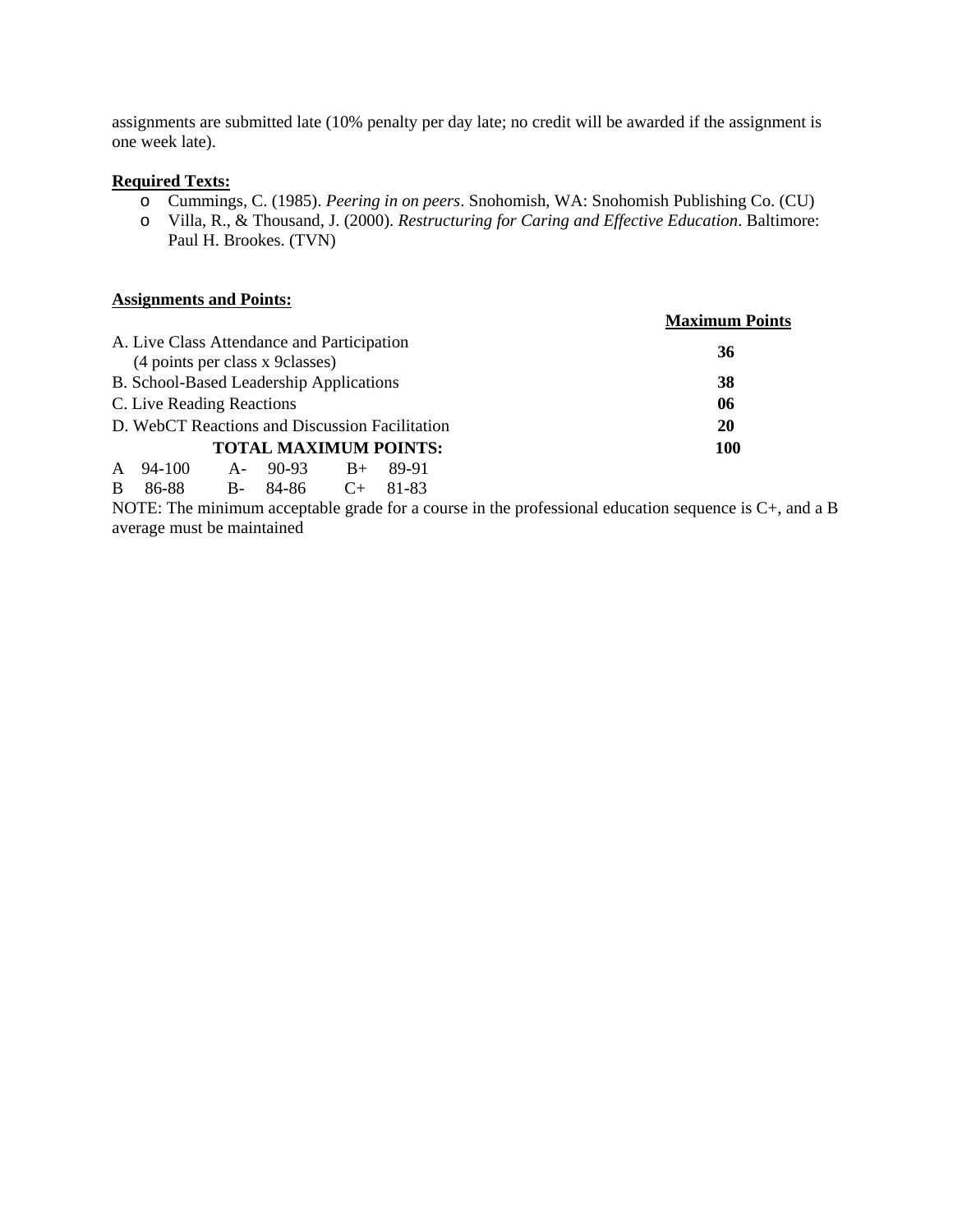assignments are submitted late (10% penalty per day late; no credit will be awarded if the assignment is one week late).

#### **Required Texts:**

- o Cummings, C. (1985). *Peering in on peers*. Snohomish, WA: Snohomish Publishing Co. (CU)
- o Villa, R., & Thousand, J. (2000). *Restructuring for Caring and Effective Education*. Baltimore: Paul H. Brookes. (TVN)

#### **Assignments and Points:**

|                                                                                |  |                              |  |       | <b>Maximum Points</b> |
|--------------------------------------------------------------------------------|--|------------------------------|--|-------|-----------------------|
| A. Live Class Attendance and Participation<br>(4 points per class x 9 classes) |  |                              |  |       | 36                    |
| B. School-Based Leadership Applications                                        |  |                              |  |       | 38                    |
| C. Live Reading Reactions                                                      |  |                              |  |       | 06                    |
| D. WebCT Reactions and Discussion Facilitation                                 |  |                              |  |       | 20                    |
|                                                                                |  | <b>TOTAL MAXIMUM POINTS:</b> |  |       | <b>100</b>            |
| 94-100<br>$\mathsf{A}$                                                         |  | $A-90-93$ $B+$               |  | 89-91 |                       |
| <sub>B</sub><br>86-88                                                          |  | B- 84-86 C+ 81-83            |  |       |                       |

NOTE: The minimum acceptable grade for a course in the professional education sequence is C+, and a B average must be maintained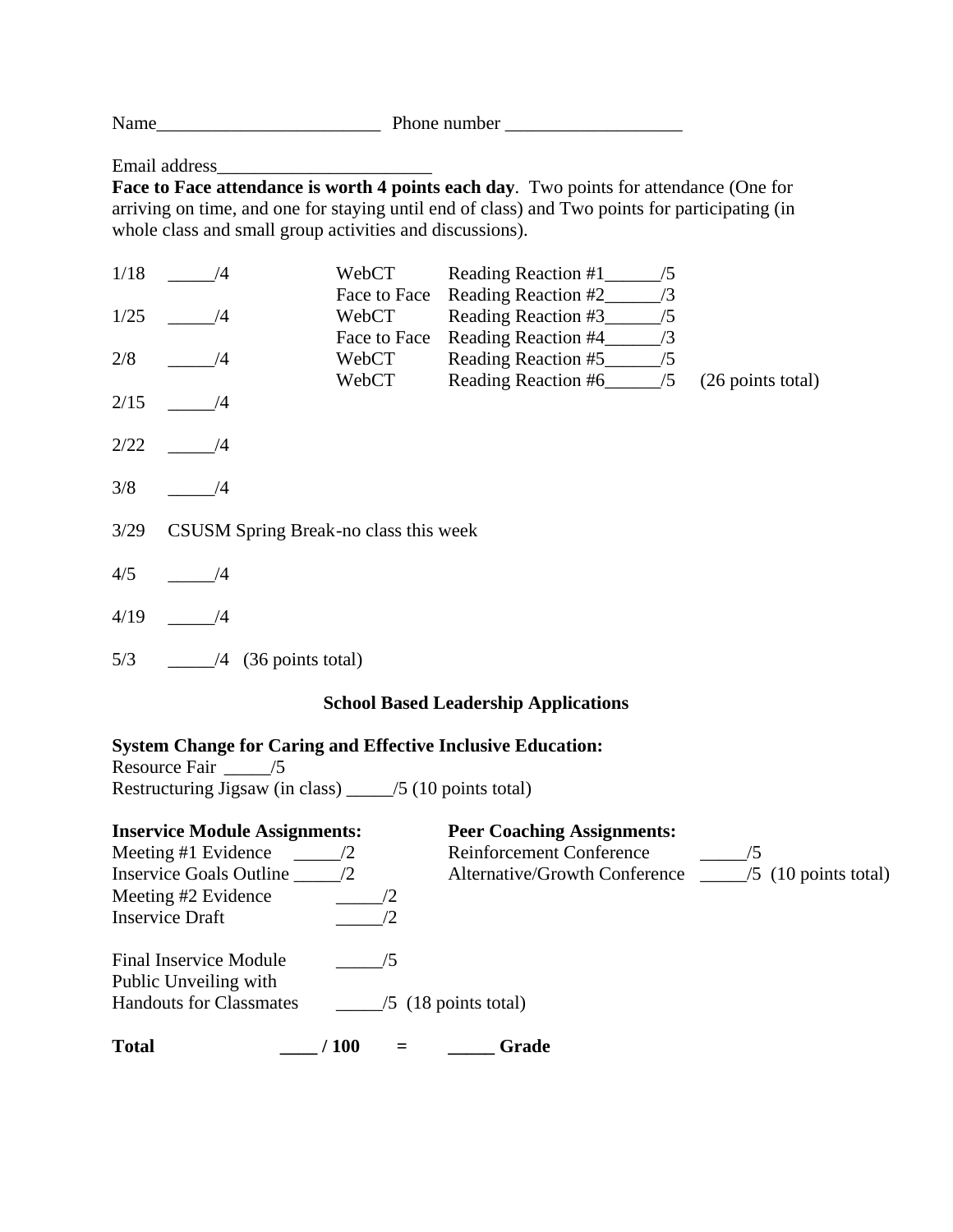Name\_\_\_\_\_\_\_\_\_\_\_\_\_\_\_\_\_\_\_\_\_\_\_\_ Phone number \_\_\_\_\_\_\_\_\_\_\_\_\_\_\_\_\_\_\_

Email address\_

**Face to Face attendance is worth 4 points each day**. Two points for attendance (One for arriving on time, and one for staying until end of class) and Two points for participating (in whole class and small group activities and discussions).

| 1/18                                        | /4                                    | WebCT<br>Face to Face | Reading Reaction #1<br>/5<br>Reading Reaction #2<br>/3                         |                   |  |
|---------------------------------------------|---------------------------------------|-----------------------|--------------------------------------------------------------------------------|-------------------|--|
| 1/25                                        | /4                                    | WebCT<br>Face to Face | Reading Reaction #3<br>/5<br>/3                                                |                   |  |
| 2/8                                         | /4                                    | WebCT<br>WebCT        | Reading Reaction #4_<br>Reading Reaction #5<br>/5<br>Reading Reaction #6<br>/5 | (26 points total) |  |
| 2/15                                        | /4                                    |                       |                                                                                |                   |  |
| 2/22                                        | /4                                    |                       |                                                                                |                   |  |
| 3/8                                         | /4                                    |                       |                                                                                |                   |  |
| 3/29                                        | CSUSM Spring Break-no class this week |                       |                                                                                |                   |  |
| 4/5                                         | /4                                    |                       |                                                                                |                   |  |
| 4/19                                        | /4                                    |                       |                                                                                |                   |  |
| 5/3                                         | (36 points total)<br>/4               |                       |                                                                                |                   |  |
| <b>School Based Leadership Applications</b> |                                       |                       |                                                                                |                   |  |

### **System Change for Caring and Effective Inclusive Education:**

Resource Fair \_\_\_\_\_\_\_\_ /5 Restructuring  $\overline{\text{Jigsaw}}$  (in class) \_\_\_\_\_/5 (10 points total)

| <b>Inservice Module Assignments:</b>            |              |                        | <b>Peer Coaching Assignments:</b> |                        |
|-------------------------------------------------|--------------|------------------------|-----------------------------------|------------------------|
| Meeting #1 Evidence                             |              |                        | <b>Reinforcement Conference</b>   |                        |
| <b>Inservice Goals Outline</b>                  | 72           |                        | Alternative/Growth Conference     | $/5$ (10 points total) |
| Meeting #2 Evidence                             |              |                        |                                   |                        |
| <b>Inservice Draft</b>                          |              |                        |                                   |                        |
| Final Inservice Module<br>Public Unveiling with |              | /5                     |                                   |                        |
| <b>Handouts for Classmates</b>                  |              | $/5$ (18 points total) |                                   |                        |
| <b>Total</b>                                    | $\sqrt{100}$ |                        | Grade                             |                        |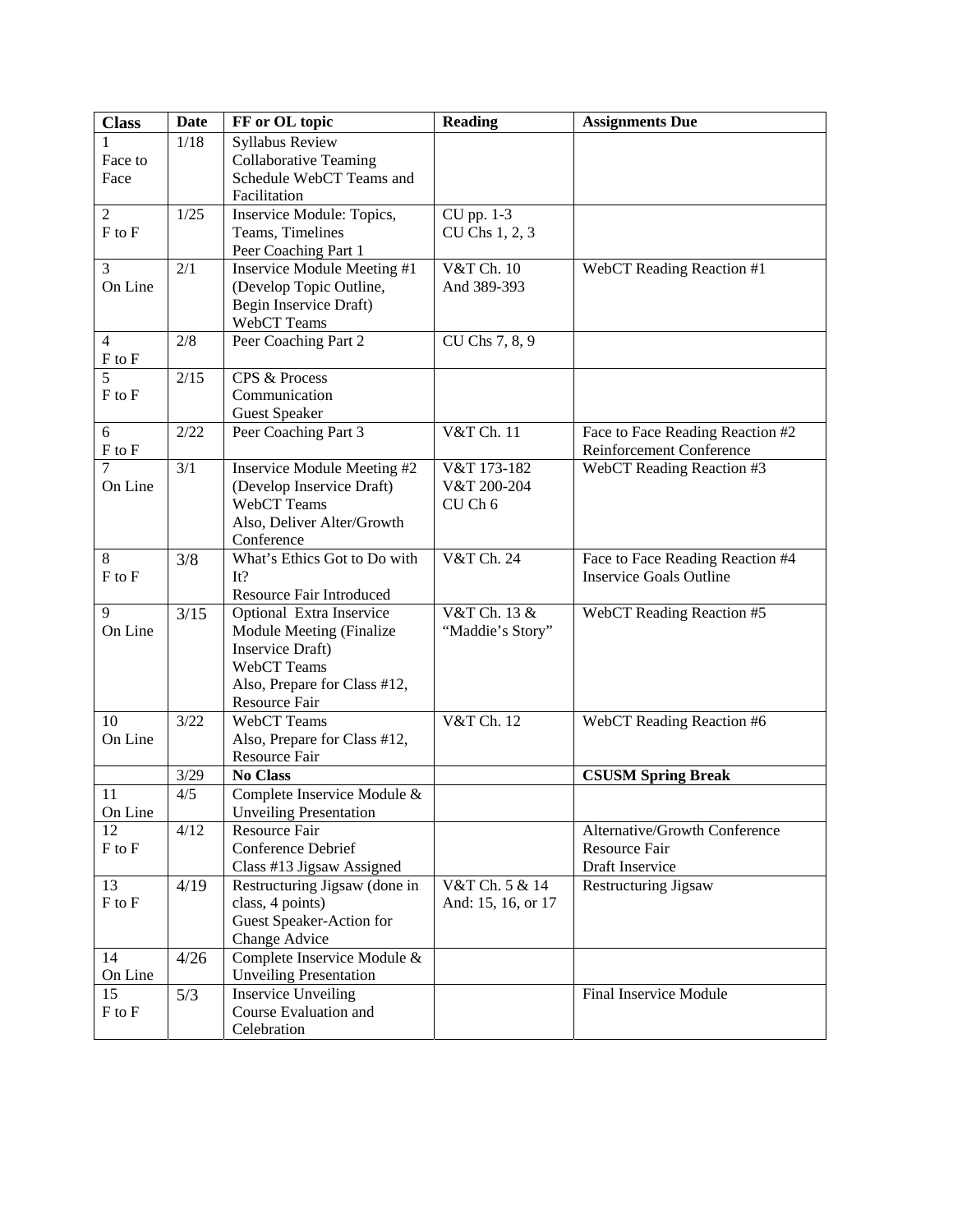| <b>Class</b>           | <b>Date</b> | FF or OL topic                             | <b>Reading</b>     | <b>Assignments Due</b>                                             |
|------------------------|-------------|--------------------------------------------|--------------------|--------------------------------------------------------------------|
|                        | 1/18        | Syllabus Review                            |                    |                                                                    |
| Face to                |             | <b>Collaborative Teaming</b>               |                    |                                                                    |
| Face                   |             | Schedule WebCT Teams and                   |                    |                                                                    |
|                        |             | Facilitation                               |                    |                                                                    |
| $\overline{2}$         | 1/25        | Inservice Module: Topics,                  | CU pp. 1-3         |                                                                    |
| $F$ to $F$             |             | Teams, Timelines                           | CU Chs 1, 2, 3     |                                                                    |
|                        |             | Peer Coaching Part 1                       |                    |                                                                    |
| $\overline{3}$         | 2/1         | Inservice Module Meeting #1                | V&T Ch. 10         | WebCT Reading Reaction #1                                          |
| On Line                |             | (Develop Topic Outline,                    | And 389-393        |                                                                    |
|                        |             | Begin Inservice Draft)                     |                    |                                                                    |
|                        |             | WebCT Teams                                |                    |                                                                    |
| $\overline{4}$         | 2/8         | Peer Coaching Part 2                       | CU Chs 7, 8, 9     |                                                                    |
| F to F                 |             |                                            |                    |                                                                    |
| 5                      | 2/15        | CPS & Process                              |                    |                                                                    |
| F to F                 |             | Communication                              |                    |                                                                    |
|                        |             | <b>Guest Speaker</b>                       |                    |                                                                    |
| 6                      | 2/22        | Peer Coaching Part 3                       | V&T Ch. 11         | Face to Face Reading Reaction #2                                   |
| F to F                 |             |                                            |                    | Reinforcement Conference                                           |
| 7                      | 3/1         | Inservice Module Meeting #2                | V&T 173-182        | WebCT Reading Reaction #3                                          |
| On Line                |             | (Develop Inservice Draft)                  | V&T 200-204        |                                                                    |
|                        |             | WebCT Teams                                | CU Ch 6            |                                                                    |
|                        |             | Also, Deliver Alter/Growth                 |                    |                                                                    |
|                        |             | Conference<br>What's Ethics Got to Do with |                    |                                                                    |
| 8<br>$F$ to $F$        | 3/8         | It?                                        | V&T Ch. 24         | Face to Face Reading Reaction #4<br><b>Inservice Goals Outline</b> |
|                        |             | Resource Fair Introduced                   |                    |                                                                    |
| 9                      | 3/15        | Optional Extra Inservice                   | V&T Ch. 13 &       | WebCT Reading Reaction #5                                          |
| On Line                |             | Module Meeting (Finalize                   | "Maddie's Story"   |                                                                    |
|                        |             | Inservice Draft)                           |                    |                                                                    |
|                        |             | WebCT Teams                                |                    |                                                                    |
|                        |             | Also, Prepare for Class #12,               |                    |                                                                    |
|                        |             | Resource Fair                              |                    |                                                                    |
| 10                     | 3/22        | WebCT Teams                                | V&T Ch. 12         | WebCT Reading Reaction #6                                          |
| On Line                |             | Also, Prepare for Class #12,               |                    |                                                                    |
|                        |             | Resource Fair                              |                    |                                                                    |
|                        | $3/29$      | <b>No Class</b>                            |                    | <b>CSUSM Spring Break</b>                                          |
| 11                     | 4/5         | Complete Inservice Module &                |                    |                                                                    |
| On Line                |             | <b>Unveiling Presentation</b>              |                    |                                                                    |
| 12                     | 4/12        | Resource Fair                              |                    | Alternative/Growth Conference                                      |
| $F$ to $F$             |             | Conference Debrief                         |                    | Resource Fair                                                      |
|                        |             | Class #13 Jigsaw Assigned                  |                    | Draft Inservice                                                    |
| 13                     | 4/19        | Restructuring Jigsaw (done in              | V&T Ch. 5 & 14     | Restructuring Jigsaw                                               |
| ${\rm F}$ to ${\rm F}$ |             | class, 4 points)                           | And: 15, 16, or 17 |                                                                    |
|                        |             | Guest Speaker-Action for                   |                    |                                                                    |
|                        |             | Change Advice                              |                    |                                                                    |
| 14                     | 4/26        | Complete Inservice Module &                |                    |                                                                    |
| On Line                |             | <b>Unveiling Presentation</b>              |                    |                                                                    |
| 15                     | 5/3         | <b>Inservice Unveiling</b>                 |                    | Final Inservice Module                                             |
| $F$ to $F$             |             | Course Evaluation and                      |                    |                                                                    |
|                        |             | Celebration                                |                    |                                                                    |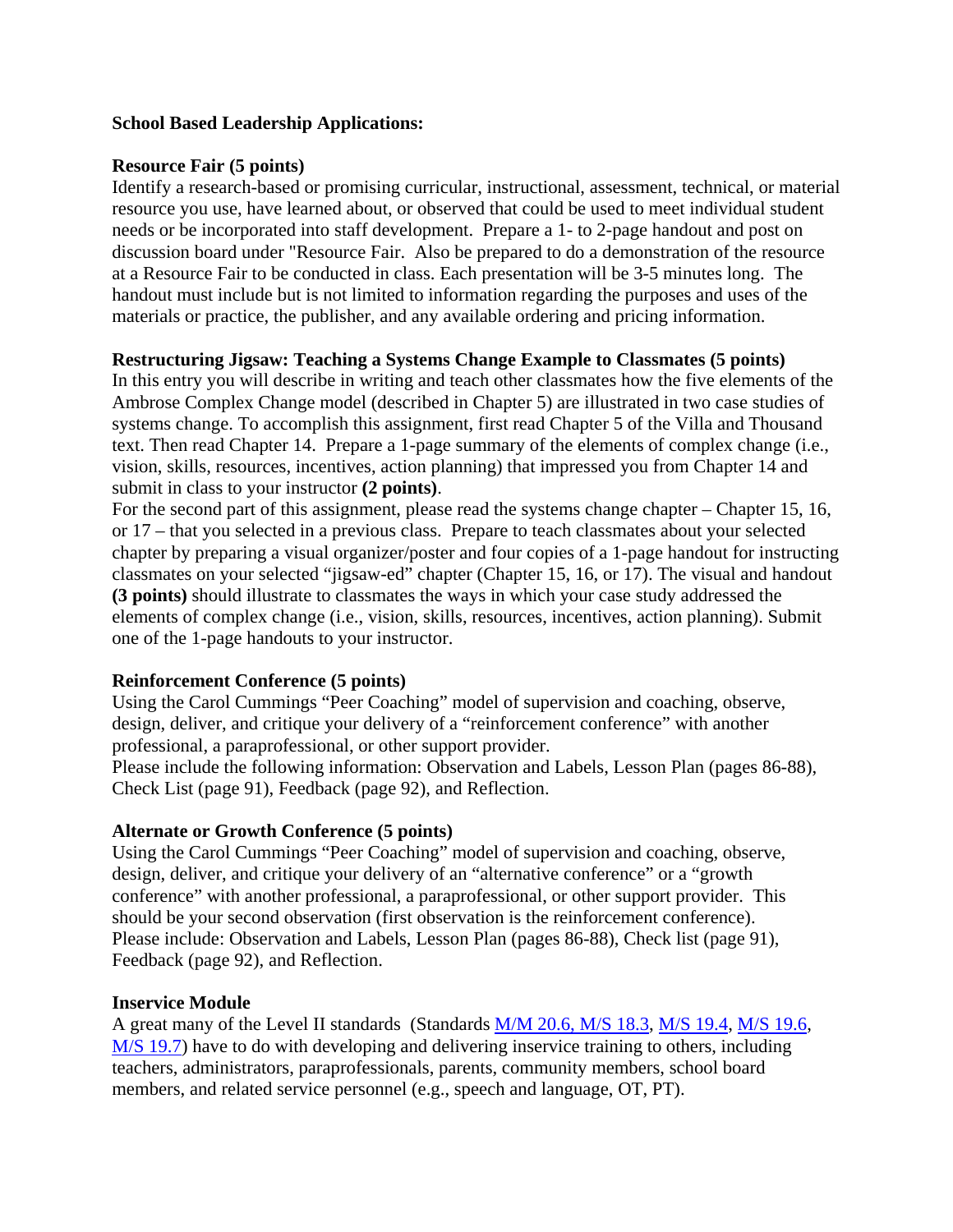### **School Based Leadership Applications:**

### **Resource Fair (5 points)**

Identify a research-based or promising curricular, instructional, assessment, technical, or material resource you use, have learned about, or observed that could be used to meet individual student needs or be incorporated into staff development. Prepare a 1- to 2-page handout and post on discussion board under "Resource Fair. Also be prepared to do a demonstration of the resource at a Resource Fair to be conducted in class. Each presentation will be 3-5 minutes long. The handout must include but is not limited to information regarding the purposes and uses of the materials or practice, the publisher, and any available ordering and pricing information.

### **Restructuring Jigsaw: Teaching a Systems Change Example to Classmates (5 points)**

In this entry you will describe in writing and teach other classmates how the five elements of the Ambrose Complex Change model (described in Chapter 5) are illustrated in two case studies of systems change. To accomplish this assignment, first read Chapter 5 of the Villa and Thousand text. Then read Chapter 14. Prepare a 1-page summary of the elements of complex change (i.e., vision, skills, resources, incentives, action planning) that impressed you from Chapter 14 and submit in class to your instructor **(2 points)**.

For the second part of this assignment, please read the systems change chapter – Chapter 15, 16, or 17 – that you selected in a previous class. Prepare to teach classmates about your selected chapter by preparing a visual organizer/poster and four copies of a 1-page handout for instructing classmates on your selected "jigsaw-ed" chapter (Chapter 15, 16, or 17). The visual and handout **(3 points)** should illustrate to classmates the ways in which your case study addressed the elements of complex change (i.e., vision, skills, resources, incentives, action planning). Submit one of the 1-page handouts to your instructor.

### **Reinforcement Conference (5 points)**

Using the Carol Cummings "Peer Coaching" model of supervision and coaching, observe, design, deliver, and critique your delivery of a "reinforcement conference" with another professional, a paraprofessional, or other support provider.

Please include the following information: Observation and Labels, Lesson Plan (pages 86-88), Check List (page 91), Feedback (page 92), and Reflection.

### **Alternate or Growth Conference (5 points)**

Using the Carol Cummings "Peer Coaching" model of supervision and coaching, observe, design, deliver, and critique your delivery of an "alternative conference" or a "growth conference" with another professional, a paraprofessional, or other support provider. This should be your second observation (first observation is the reinforcement conference). Please include: Observation and Labels, Lesson Plan (pages 86-88), Check list (page 91), Feedback (page 92), and Reflection.

### **Inservice Module**

A great many of the Level II standards (Standards M/M 20.6, M/S 18.3, M/S 19.4, M/S 19.6, M/S 19.7) have to do with developing and delivering inservice training to others, including teachers, administrators, paraprofessionals, parents, community members, school board members, and related service personnel (e.g., speech and language, OT, PT).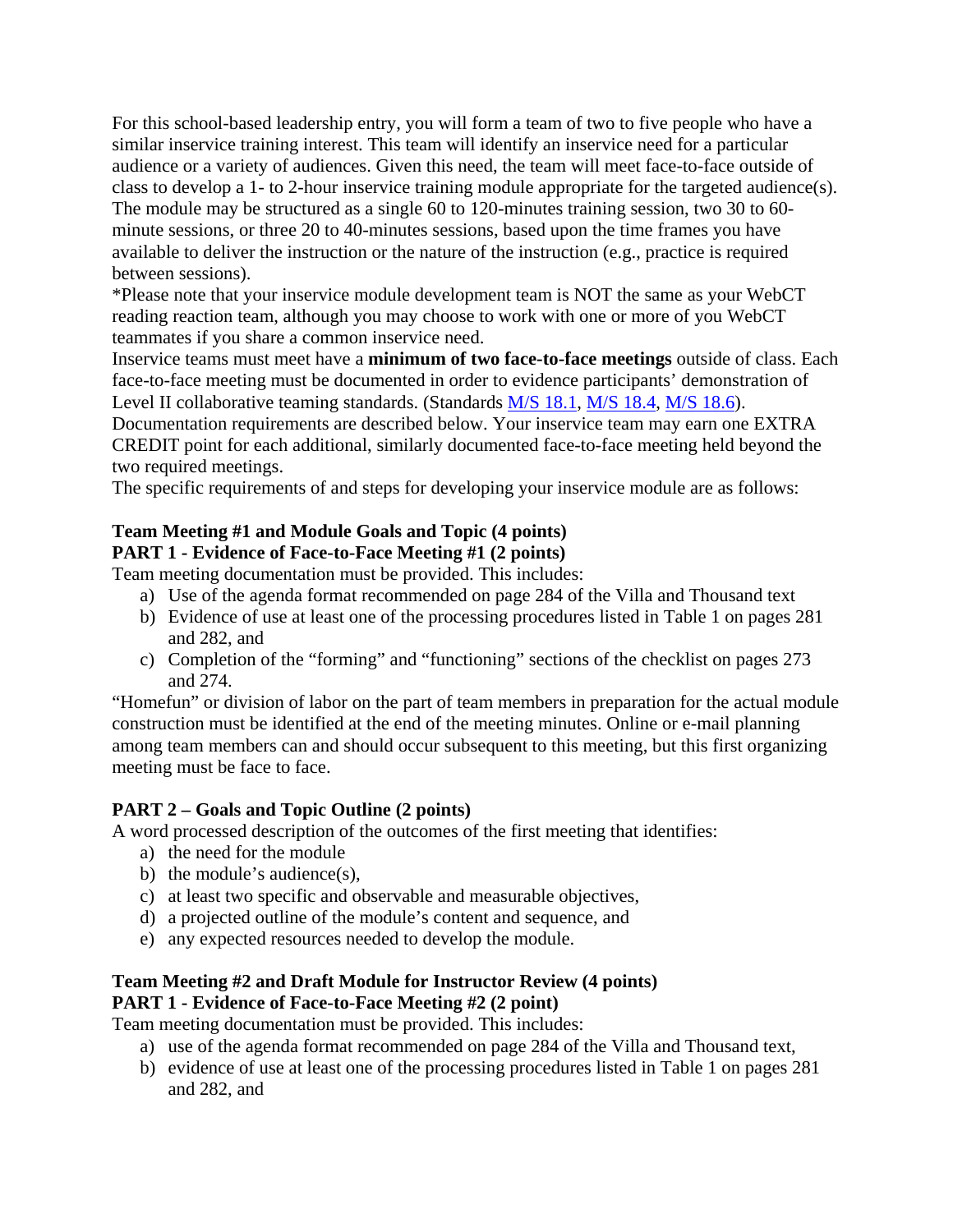For this school-based leadership entry, you will form a team of two to five people who have a similar inservice training interest. This team will identify an inservice need for a particular audience or a variety of audiences. Given this need, the team will meet face-to-face outside of class to develop a 1- to 2-hour inservice training module appropriate for the targeted audience(s). The module may be structured as a single 60 to 120-minutes training session, two 30 to 60 minute sessions, or three 20 to 40-minutes sessions, based upon the time frames you have available to deliver the instruction or the nature of the instruction (e.g., practice is required between sessions).

\*Please note that your inservice module development team is NOT the same as your WebCT reading reaction team, although you may choose to work with one or more of you WebCT teammates if you share a common inservice need.

Inservice teams must meet have a **minimum of two face-to-face meetings** outside of class. Each face-to-face meeting must be documented in order to evidence participants' demonstration of Level II collaborative teaming standards. (Standards  $M/S$  18.1,  $M/S$  18.4,  $M/S$  18.6).

Documentation requirements are described below. Your inservice team may earn one EXTRA CREDIT point for each additional, similarly documented face-to-face meeting held beyond the two required meetings.

The specific requirements of and steps for developing your inservice module are as follows:

# **Team Meeting #1 and Module Goals and Topic (4 points)**

# **PART 1 - Evidence of Face-to-Face Meeting #1 (2 points)**

Team meeting documentation must be provided. This includes:

- a) Use of the agenda format recommended on page 284 of the Villa and Thousand text
- b) Evidence of use at least one of the processing procedures listed in Table 1 on pages 281 and 282, and
- c) Completion of the "forming" and "functioning" sections of the checklist on pages 273 and 274.

"Homefun" or division of labor on the part of team members in preparation for the actual module construction must be identified at the end of the meeting minutes. Online or e-mail planning among team members can and should occur subsequent to this meeting, but this first organizing meeting must be face to face.

# **PART 2 – Goals and Topic Outline (2 points)**

A word processed description of the outcomes of the first meeting that identifies:

- a) the need for the module
- b) the module's audience(s),
- c) at least two specific and observable and measurable objectives,
- d) a projected outline of the module's content and sequence, and
- e) any expected resources needed to develop the module.

# **Team Meeting #2 and Draft Module for Instructor Review (4 points)**

# **PART 1 - Evidence of Face-to-Face Meeting #2 (2 point)**

Team meeting documentation must be provided. This includes:

- a) use of the agenda format recommended on page 284 of the Villa and Thousand text,
- b) evidence of use at least one of the processing procedures listed in Table 1 on pages 281 and 282, and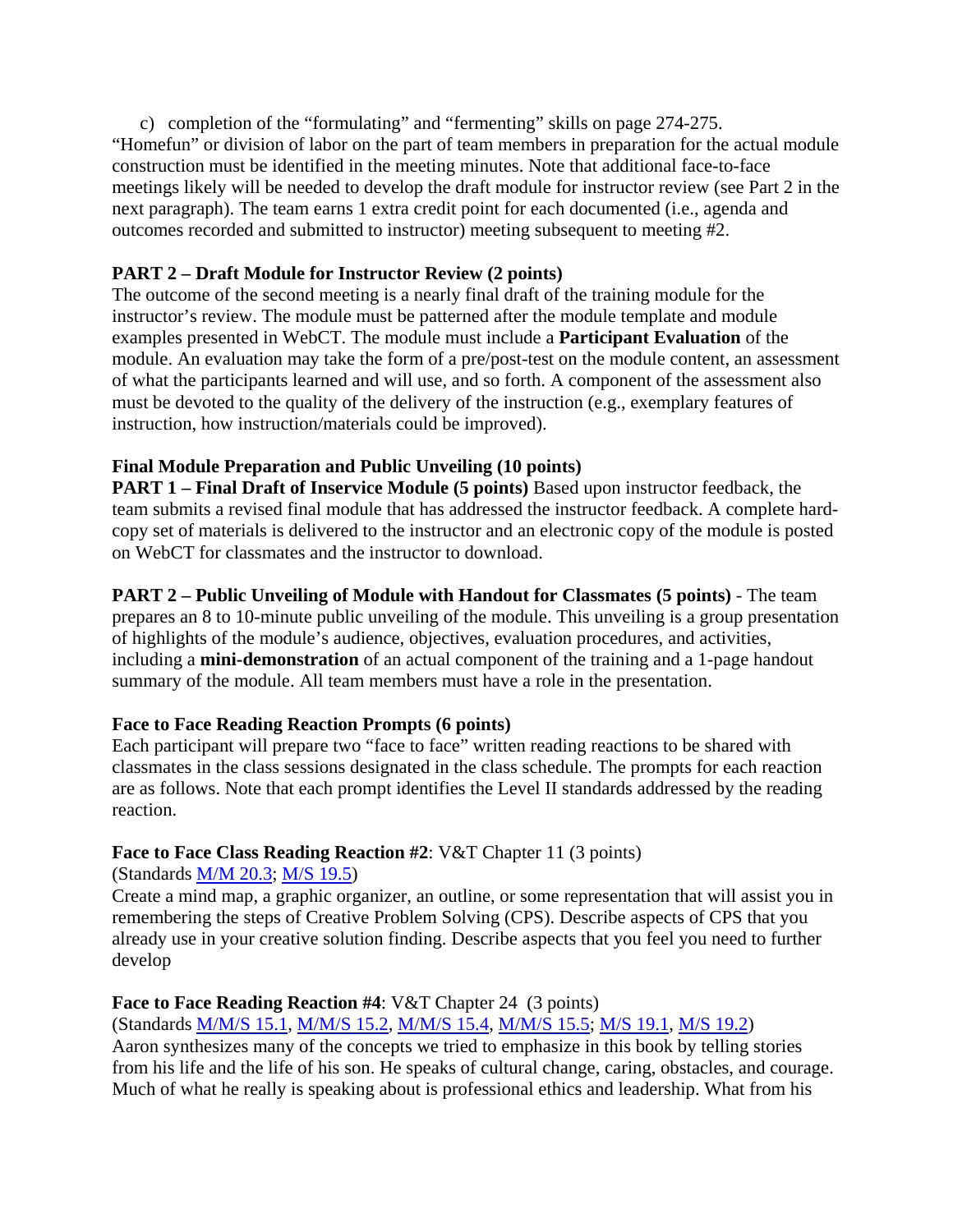c) completion of the "formulating" and "fermenting" skills on page 274-275. "Homefun" or division of labor on the part of team members in preparation for the actual module construction must be identified in the meeting minutes. Note that additional face-to-face meetings likely will be needed to develop the draft module for instructor review (see Part 2 in the next paragraph). The team earns 1 extra credit point for each documented (i.e., agenda and outcomes recorded and submitted to instructor) meeting subsequent to meeting #2.

# **PART 2 – Draft Module for Instructor Review (2 points)**

The outcome of the second meeting is a nearly final draft of the training module for the instructor's review. The module must be patterned after the module template and module examples presented in WebCT. The module must include a **Participant Evaluation** of the module. An evaluation may take the form of a pre/post-test on the module content, an assessment of what the participants learned and will use, and so forth. A component of the assessment also must be devoted to the quality of the delivery of the instruction (e.g., exemplary features of instruction, how instruction/materials could be improved).

# **Final Module Preparation and Public Unveiling (10 points)**

**PART 1 – Final Draft of Inservice Module (5 points)** Based upon instructor feedback, the team submits a revised final module that has addressed the instructor feedback. A complete hardcopy set of materials is delivered to the instructor and an electronic copy of the module is posted on WebCT for classmates and the instructor to download.

# **PART 2 – Public Unveiling of Module with Handout for Classmates (5 points)** - The team

prepares an 8 to 10-minute public unveiling of the module. This unveiling is a group presentation of highlights of the module's audience, objectives, evaluation procedures, and activities, including a **mini-demonstration** of an actual component of the training and a 1-page handout summary of the module. All team members must have a role in the presentation.

# **Face to Face Reading Reaction Prompts (6 points)**

Each participant will prepare two "face to face" written reading reactions to be shared with classmates in the class sessions designated in the class schedule. The prompts for each reaction are as follows. Note that each prompt identifies the Level II standards addressed by the reading reaction.

# **Face to Face Class Reading Reaction #2**: V&T Chapter 11 (3 points)

(Standards M/M 20.3; M/S 19.5)

Create a mind map, a graphic organizer, an outline, or some representation that will assist you in remembering the steps of Creative Problem Solving (CPS). Describe aspects of CPS that you already use in your creative solution finding. Describe aspects that you feel you need to further develop

# **Face to Face Reading Reaction #4**: V&T Chapter 24 (3 points)

(Standards M/M/S 15.1, M/M/S 15.2, M/M/S 15.4, M/M/S 15.5; M/S 19.1, M/S 19.2)

Aaron synthesizes many of the concepts we tried to emphasize in this book by telling stories from his life and the life of his son. He speaks of cultural change, caring, obstacles, and courage. Much of what he really is speaking about is professional ethics and leadership. What from his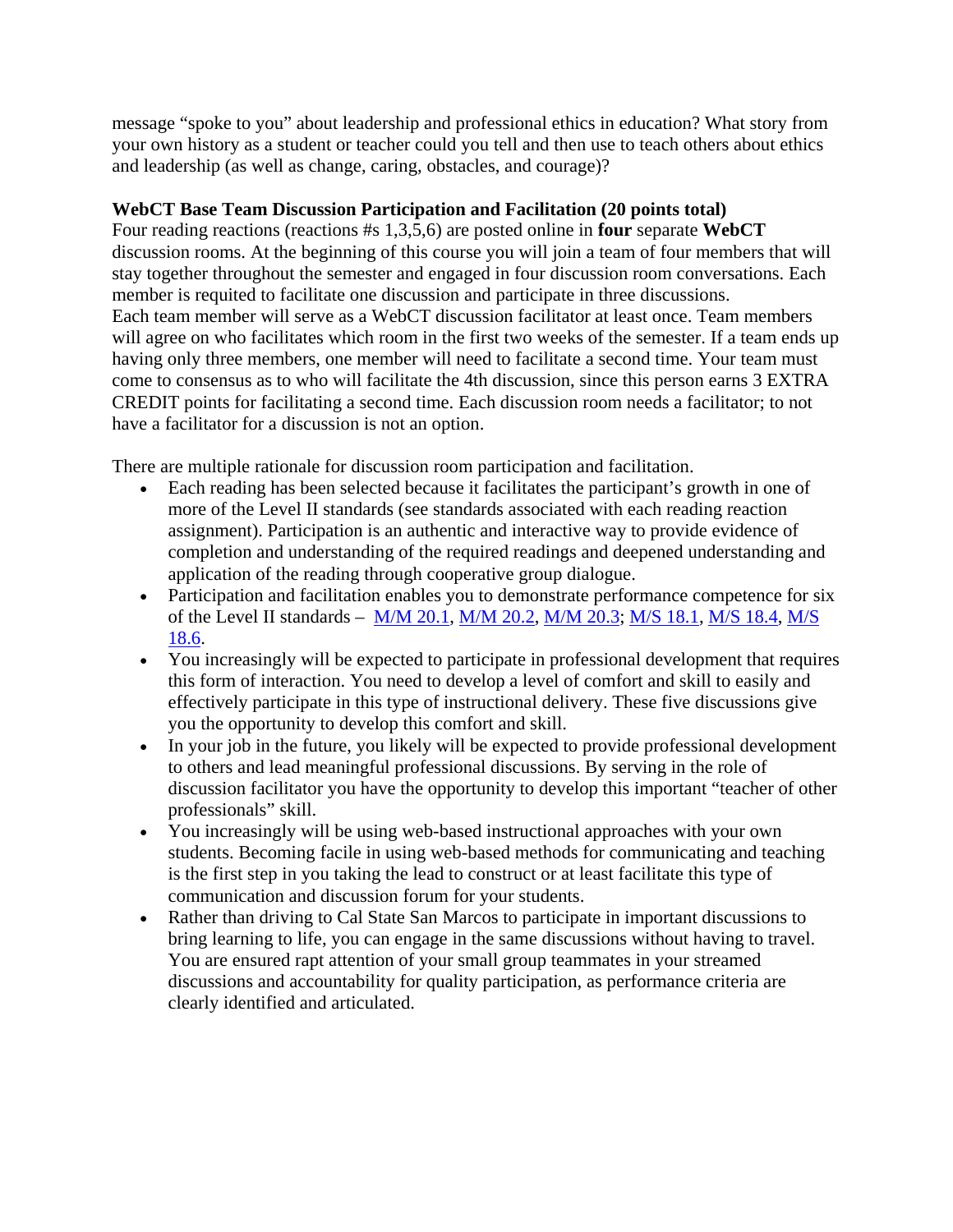message "spoke to you" about leadership and professional ethics in education? What story from your own history as a student or teacher could you tell and then use to teach others about ethics and leadership (as well as change, caring, obstacles, and courage)?

# **WebCT Base Team Discussion Participation and Facilitation (20 points total)**

Four reading reactions (reactions #s 1,3,5,6) are posted online in **four** separate **WebCT**  discussion rooms. At the beginning of this course you will join a team of four members that will stay together throughout the semester and engaged in four discussion room conversations. Each member is requited to facilitate one discussion and participate in three discussions. Each team member will serve as a WebCT discussion facilitator at least once. Team members will agree on who facilitates which room in the first two weeks of the semester. If a team ends up having only three members, one member will need to facilitate a second time. Your team must come to consensus as to who will facilitate the 4th discussion, since this person earns 3 EXTRA CREDIT points for facilitating a second time. Each discussion room needs a facilitator; to not have a facilitator for a discussion is not an option.

There are multiple rationale for discussion room participation and facilitation.

- Each reading has been selected because it facilitates the participant's growth in one of more of the Level II standards (see standards associated with each reading reaction assignment). Participation is an authentic and interactive way to provide evidence of completion and understanding of the required readings and deepened understanding and application of the reading through cooperative group dialogue.
- Participation and facilitation enables you to demonstrate performance competence for six of the Level II standards – M/M 20.1, M/M 20.2, M/M 20.3; M/S 18.1, M/S 18.4, M/S 18.6.
- You increasingly will be expected to participate in professional development that requires this form of interaction. You need to develop a level of comfort and skill to easily and effectively participate in this type of instructional delivery. These five discussions give you the opportunity to develop this comfort and skill.
- In your job in the future, you likely will be expected to provide professional development to others and lead meaningful professional discussions. By serving in the role of discussion facilitator you have the opportunity to develop this important "teacher of other professionals" skill.
- You increasingly will be using web-based instructional approaches with your own students. Becoming facile in using web-based methods for communicating and teaching is the first step in you taking the lead to construct or at least facilitate this type of communication and discussion forum for your students.
- Rather than driving to Cal State San Marcos to participate in important discussions to bring learning to life, you can engage in the same discussions without having to travel. You are ensured rapt attention of your small group teammates in your streamed discussions and accountability for quality participation, as performance criteria are clearly identified and articulated.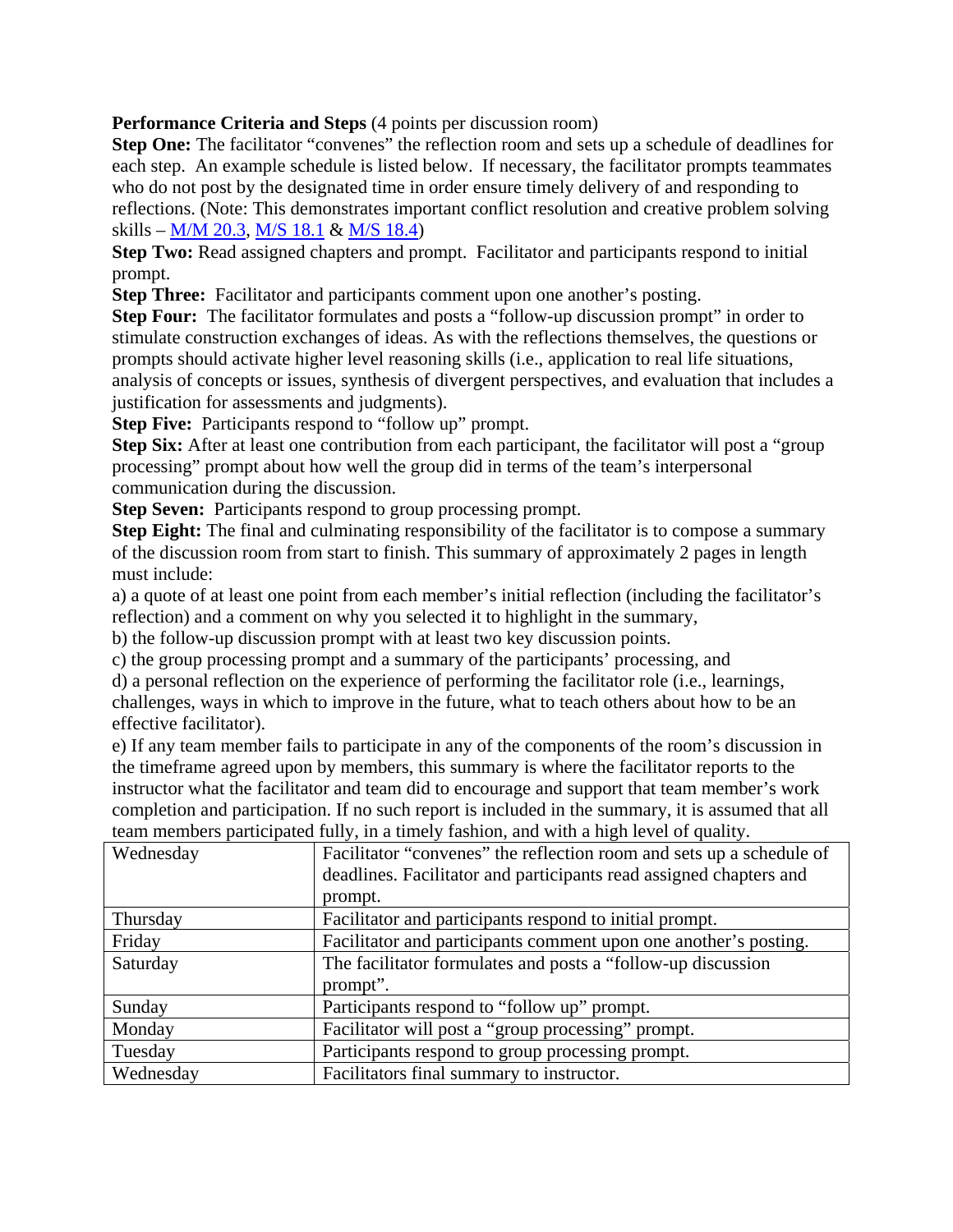**Performance Criteria and Steps** (4 points per discussion room)

**Step One:** The facilitator "convenes" the reflection room and sets up a schedule of deadlines for each step. An example schedule is listed below. If necessary, the facilitator prompts teammates who do not post by the designated time in order ensure timely delivery of and responding to reflections. (Note: This demonstrates important conflict resolution and creative problem solving skills – M/M 20.3, M/S 18.1 & M/S 18.4)

**Step Two:** Read assigned chapters and prompt. Facilitator and participants respond to initial prompt.

**Step Three:** Facilitator and participants comment upon one another's posting.

**Step Four:** The facilitator formulates and posts a "follow-up discussion prompt" in order to stimulate construction exchanges of ideas. As with the reflections themselves, the questions or prompts should activate higher level reasoning skills (i.e., application to real life situations, analysis of concepts or issues, synthesis of divergent perspectives, and evaluation that includes a justification for assessments and judgments).

**Step Five:** Participants respond to "follow up" prompt.

**Step Six:** After at least one contribution from each participant, the facilitator will post a "group" processing" prompt about how well the group did in terms of the team's interpersonal communication during the discussion.

**Step Seven:** Participants respond to group processing prompt.

**Step Eight:** The final and culminating responsibility of the facilitator is to compose a summary of the discussion room from start to finish. This summary of approximately 2 pages in length must include:

a) a quote of at least one point from each member's initial reflection (including the facilitator's reflection) and a comment on why you selected it to highlight in the summary,

b) the follow-up discussion prompt with at least two key discussion points.

c) the group processing prompt and a summary of the participants' processing, and

d) a personal reflection on the experience of performing the facilitator role (i.e., learnings, challenges, ways in which to improve in the future, what to teach others about how to be an effective facilitator).

e) If any team member fails to participate in any of the components of the room's discussion in the timeframe agreed upon by members, this summary is where the facilitator reports to the instructor what the facilitator and team did to encourage and support that team member's work completion and participation. If no such report is included in the summary, it is assumed that all team members participated fully, in a timely fashion, and with a high level of quality.

| Wednesday | Facilitator "convenes" the reflection room and sets up a schedule of |
|-----------|----------------------------------------------------------------------|
|           | deadlines. Facilitator and participants read assigned chapters and   |
|           | prompt.                                                              |
| Thursday  | Facilitator and participants respond to initial prompt.              |
| Friday    | Facilitator and participants comment upon one another's posting.     |
| Saturday  | The facilitator formulates and posts a "follow-up discussion"        |
|           | prompt".                                                             |
| Sunday    | Participants respond to "follow up" prompt.                          |
| Monday    | Facilitator will post a "group processing" prompt.                   |
| Tuesday   | Participants respond to group processing prompt.                     |
| Wednesday | Facilitators final summary to instructor.                            |